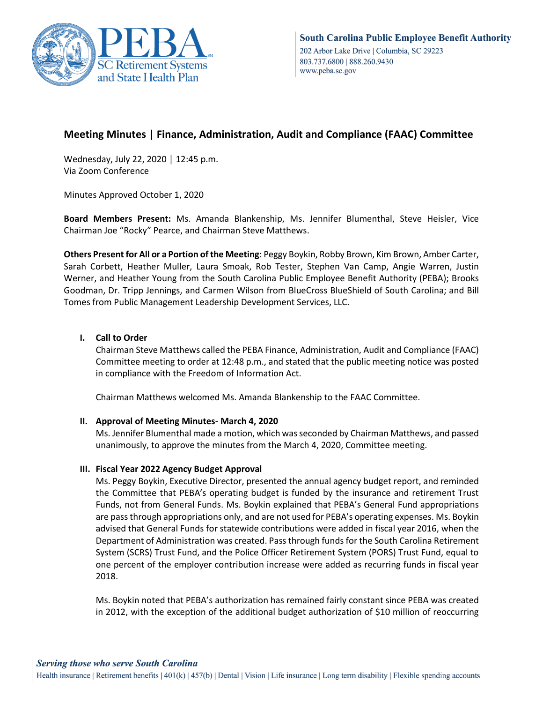

# **Meeting Minutes | Finance, Administration, Audit and Compliance (FAAC) Committee**

Wednesday, July 22, 2020 │ 12:45 p.m. Via Zoom Conference

Minutes Approved October 1, 2020

**Board Members Present:** Ms. Amanda Blankenship, Ms. Jennifer Blumenthal, Steve Heisler, Vice Chairman Joe "Rocky" Pearce, and Chairman Steve Matthews.

**Others Present for All or a Portion of the Meeting**: Peggy Boykin, Robby Brown, Kim Brown, Amber Carter, Sarah Corbett, Heather Muller, Laura Smoak, Rob Tester, Stephen Van Camp, Angie Warren, Justin Werner, and Heather Young from the South Carolina Public Employee Benefit Authority (PEBA); Brooks Goodman, Dr. Tripp Jennings, and Carmen Wilson from BlueCross BlueShield of South Carolina; and Bill Tomes from Public Management Leadership Development Services, LLC.

## **I. Call to Order**

Chairman Steve Matthews called the PEBA Finance, Administration, Audit and Compliance (FAAC) Committee meeting to order at 12:48 p.m., and stated that the public meeting notice was posted in compliance with the Freedom of Information Act.

Chairman Matthews welcomed Ms. Amanda Blankenship to the FAAC Committee.

## **II. Approval of Meeting Minutes- March 4, 2020**

Ms. Jennifer Blumenthal made a motion, which was seconded by Chairman Matthews, and passed unanimously, to approve the minutes from the March 4, 2020, Committee meeting.

## **III. Fiscal Year 2022 Agency Budget Approval**

Ms. Peggy Boykin, Executive Director, presented the annual agency budget report, and reminded the Committee that PEBA's operating budget is funded by the insurance and retirement Trust Funds, not from General Funds. Ms. Boykin explained that PEBA's General Fund appropriations are pass through appropriations only, and are not used for PEBA's operating expenses. Ms. Boykin advised that General Funds for statewide contributions were added in fiscal year 2016, when the Department of Administration was created. Pass through funds for the South Carolina Retirement System (SCRS) Trust Fund, and the Police Officer Retirement System (PORS) Trust Fund, equal to one percent of the employer contribution increase were added as recurring funds in fiscal year 2018.

Ms. Boykin noted that PEBA's authorization has remained fairly constant since PEBA was created in 2012, with the exception of the additional budget authorization of \$10 million of reoccurring